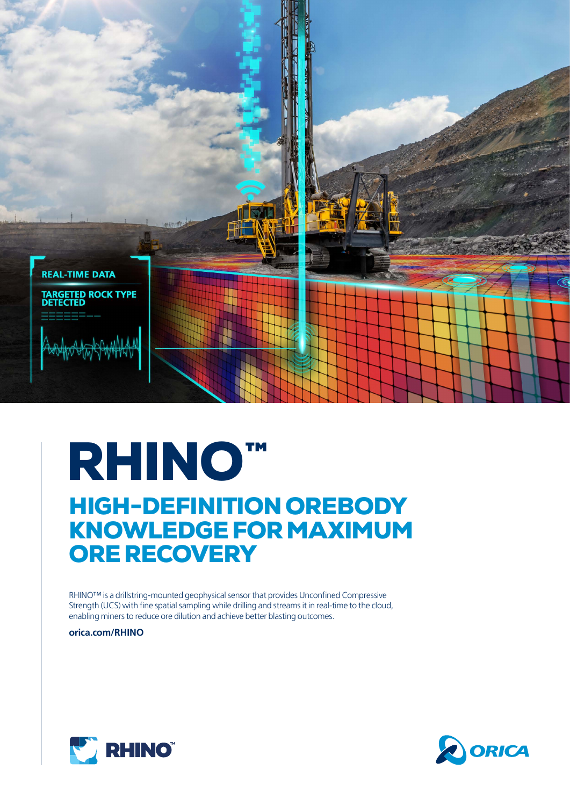

# RHINO™

## HIGH-DEFINITION OREBODY KNOWLEDGE FOR MAXIMUM ORE RECOVERY

RHINO™ is a drillstring-mounted geophysical sensor that provides Unconfined Compressive Strength (UCS) with fine spatial sampling while drilling and streams it in real-time to the cloud, enabling miners to reduce ore dilution and achieve better blasting outcomes.

[orica.com/R](http://www.orica.com/rhino)HINO